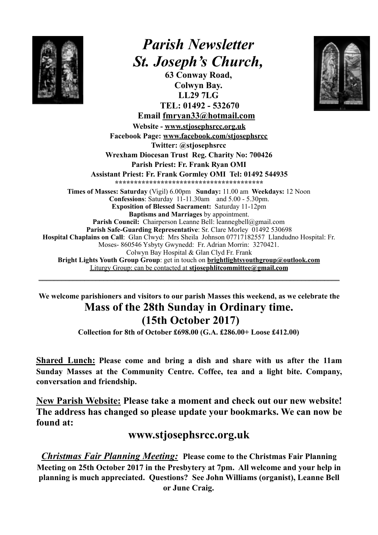

## *Parish Newsletter St. Joseph's Church,*

**63 Conway Road, Colwyn Bay. LL29 7LG TEL: 01492 - 532670** 



**Email fmryan33@hotmail.com Website - [www.stjosephsrcc.org.uk](http://www.stjosephsrcc.org.uk) Facebook Page: [www.facebook.com/stjosephsrcc](http://www.facebook.com/stjosephsrcc) Twitter: @stjosephsrcc Wrexham Diocesan Trust Reg. Charity No: 700426 Parish Priest: Fr. Frank Ryan OMI Assistant Priest: Fr. Frank Gormley OMI Tel: 01492 544935 \*\*\*\*\*\*\*\*\*\*\*\*\*\*\*\*\*\*\*\*\*\*\*\*\*\*\*\*\*\*\*\*\*\*\*\*\*\*\* Times of Masses: Saturday** (Vigil) 6.00pm **Sunday:** 11.00 am **Weekdays:** 12 Noon **Confessions**: Saturday 11-11.30am and 5.00 - 5.30pm. **Exposition of Blessed Sacrament:** Saturday 11-12pm **Baptisms and Marriages** by appointment. Parish Council: Chairperson Leanne Bell: leannegbell@gmail.com **Parish Safe-Guarding Representative**: Sr. Clare Morley 01492 530698 **Hospital Chaplains on Call**: Glan Clwyd: Mrs Sheila Johnson 07717182557 Llandudno Hospital: Fr. Moses- 860546 Ysbyty Gwynedd: Fr. Adrian Morrin: 3270421. Colwyn Bay Hospital & Glan Clyd Fr. Frank **Bright Lights Youth Group Group**: get in touch on **[brightlightsyouthgroup@outlook.com](mailto:brightlightsyouthgroup@outlook.com)** Liturgy Group: can be contacted at **[stjosephlitcommittee@gmail.com](mailto:stjosephlitcommittee@gmail.com)**

**We welcome parishioners and visitors to our parish Masses this weekend, as we celebrate the Mass of the 28th Sunday in Ordinary time. (15th October 2017)** 

\_\_\_\_\_\_\_\_\_\_\_\_\_\_\_\_\_\_\_\_\_\_\_\_\_\_\_\_\_\_\_\_\_\_\_\_\_\_\_\_\_\_\_\_\_\_\_\_\_\_\_\_\_\_\_\_\_\_\_\_\_\_\_\_\_\_\_\_\_\_\_\_\_\_\_\_\_\_\_

**Collection for 8th of October £698.00 (G.A. £286.00+ Loose £412.00)** 

**Shared Lunch: Please come and bring a dish and share with us after the 11am Sunday Masses at the Community Centre. Coffee, tea and a light bite. Company, conversation and friendship.** 

**New Parish Website: Please take a moment and check out our new website! The address has changed so please update your bookmarks. We can now be found at:** 

## **[www.stjosephsrcc.org.uk](http://www.stjosephsrcc.org.uk)**

*Christmas Fair Planning Meeting:* **Please come to the Christmas Fair Planning Meeting on 25th October 2017 in the Presbytery at 7pm. All welcome and your help in planning is much appreciated. Questions? See John Williams (organist), Leanne Bell or June Craig.**